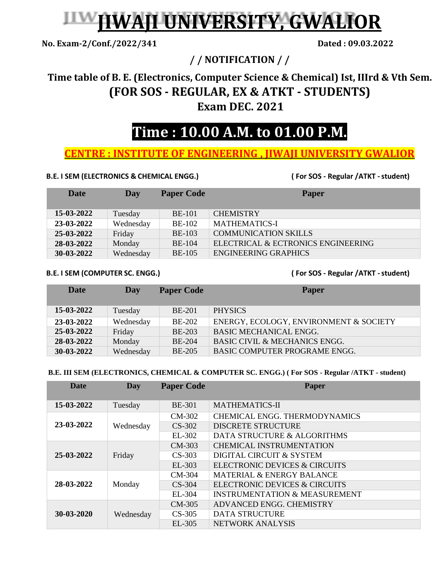# **JIWAJI UNIVERSITY, GWALIOR**

**No. Exam-2/Conf./2022/341 Dated : 09.03.2022**

**/ / NOTIFICATION / /** 

### **Time table of B. E. (Electronics, Computer Science & Chemical) Ist, IIIrd & Vth Sem. (FOR SOS - REGULAR, EX & ATKT - STUDENTS) Exam DEC. 2021**

## **Time : 10.00 A.M. to 01.00 P.M.**

#### **CENTRE : INSTITUTE OF ENGINEERING , JIWAJI UNIVERSITY GWALIOR**

#### **B.E. I SEM (ELECTRONICS & CHEMICAL ENGG.) ( For SOS - Regular /ATKT -student)**

| Date       | Day       | <b>Paper Code</b> | <b>Paper</b>                       |
|------------|-----------|-------------------|------------------------------------|
| 15-03-2022 | Tuesday   | <b>BE-101</b>     | <b>CHEMISTRY</b>                   |
|            |           |                   |                                    |
| 23-03-2022 | Wednesday | <b>BE-102</b>     | <b>MATHEMATICS-I</b>               |
| 25-03-2022 | Friday    | <b>BE-103</b>     | <b>COMMUNICATION SKILLS</b>        |
| 28-03-2022 | Monday    | <b>BE-104</b>     | ELECTRICAL & ECTRONICS ENGINEERING |
| 30-03-2022 | Wednesday | <b>BE-105</b>     | <b>ENGINEERING GRAPHICS</b>        |

**B.E. I SEM (COMPUTER SC. ENGG.) ( For SOS - Regular /ATKT -student)**

| Date       | Day       | <b>Paper Code</b> | <b>Paper</b>                             |
|------------|-----------|-------------------|------------------------------------------|
| 15-03-2022 | Tuesday   | <b>BE-201</b>     | <b>PHYSICS</b>                           |
| 23-03-2022 | Wednesday | <b>BE-202</b>     | ENERGY, ECOLOGY, ENVIRONMENT & SOCIETY   |
| 25-03-2022 | Friday    | <b>BE-203</b>     | <b>BASIC MECHANICAL ENGG.</b>            |
| 28-03-2022 | Monday    | <b>BE-204</b>     | <b>BASIC CIVIL &amp; MECHANICS ENGG.</b> |
| 30-03-2022 | Wednesday | <b>BE-205</b>     | <b>BASIC COMPUTER PROGRAME ENGG.</b>     |

#### **B.E. III SEM (ELECTRONICS, CHEMICAL & COMPUTER SC. ENGG.) ( For SOS - Regular /ATKT - student)**

| <b>Date</b> | <b>Day</b> | <b>Paper Code</b> | Paper                                    |
|-------------|------------|-------------------|------------------------------------------|
|             |            |                   |                                          |
| 15-03-2022  | Tuesday    | <b>BE-301</b>     | <b>MATHEMATICS-II</b>                    |
| 23-03-2022  | Wednesday  | CM-302            | <b>CHEMICAL ENGG. THERMODYNAMICS</b>     |
|             |            | $CS-302$          | <b>DISCRETE STRUCTURE</b>                |
|             |            | EL-302            | DATA STRUCTURE & ALGORITHMS              |
| 25-03-2022  | Friday     | $CM-303$          | <b>CHEMICAL INSTRUMENTATION</b>          |
|             |            | $CS-303$          | DIGITAL CIRCUIT & SYSTEM                 |
|             |            | $EL-303$          | ELECTRONIC DEVICES & CIRCUITS            |
| 28-03-2022  | Monday     | CM-304            | MATERIAL & ENERGY BALANCE                |
|             |            | $CS-304$          | ELECTRONIC DEVICES & CIRCUITS            |
|             |            | EL-304            | <b>INSTRUMENTATION &amp; MEASUREMENT</b> |
| 30-03-2020  | Wednesday  | CM-305            | ADVANCED ENGG. CHEMISTRY                 |
|             |            | $CS-305$          | <b>DATA STRUCTURE</b>                    |
|             |            | $EL-305$          | <b>NETWORK ANALYSIS</b>                  |